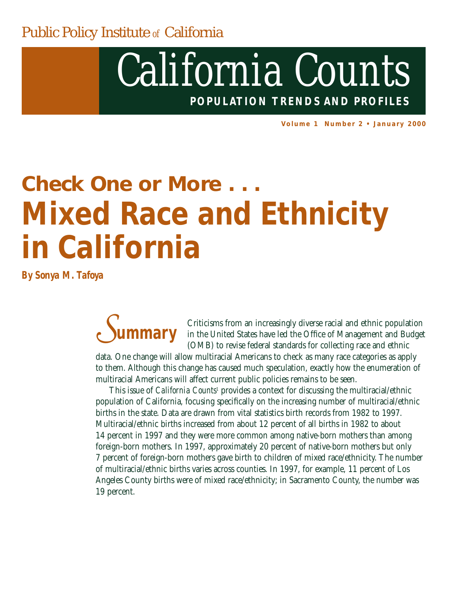Public Policy Institute *of* California

## *California Counts* **POPULATION TRENDS AND PROFILES**

**Volume 1 Number 2 • January 2000**

# *Check One or More . . .* **Mixed Race and Ethnicity in California**

*By Sonya M. Tafoya*

Criticisms from an increasingly diverse racial and ethnic population in the United States have led the Office of Management and Budget (OMB) to revise federal standards for collecting race and ethnic data. One change will allow multiracial Americans to check as many race categories as apply to them. Although this change has caused much speculation, exactly how the enumeration of multiracial Americans will affect current public policies remains to be seen. *Summary*

This issue of *California Counts*<sup>1</sup> provides a context for discussing the multiracial/ethnic population of California, focusing specifically on the increasing number of multiracial/ethnic births in the state. Data are drawn from vital statistics birth records from 1982 to 1997. Multiracial/ethnic births increased from about 12 percent of all births in 1982 to about 14 percent in 1997 and they were more common among native-born mothers than among foreign-born mothers. In 1997, approximately 20 percent of native-born mothers but only 7 percent of foreign-born mothers gave birth to children of mixed race/ethnicity. The number of multiracial/ethnic births varies across counties. In 1997, for example, 11 percent of Los Angeles County births were of mixed race/ethnicity; in Sacramento County, the number was 19 percent.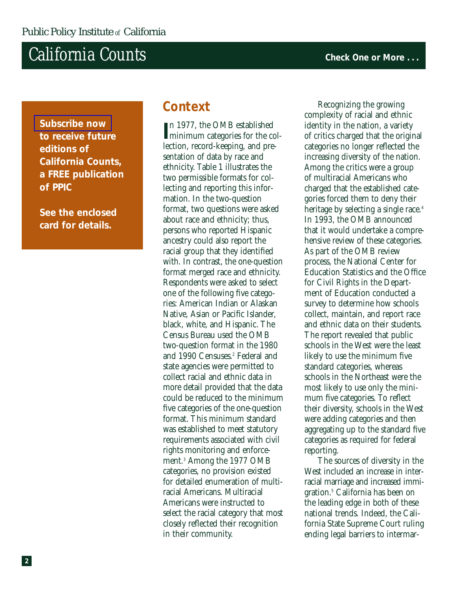### **California Counts Counts Counts Counts Check One or More .** . .

**[Subscribe now](http://www.ppic.org/calcounts.mailing.html)  to receive future editions of**  *California Counts***, a FREE publication of PPIC**

**See the enclosed card for details.**

#### **Context**

In 1977, the OMB established<br> **I** minimum categories for the coln 1977, the OMB established lection, record-keeping, and presentation of data by race and ethnicity. Table 1 illustrates the two permissible formats for collecting and reporting this information. In the two-question format, two questions were asked about race and ethnicity; thus, persons who reported Hispanic ancestry could also report the racial group that they identified with. In contrast, the one-question format merged race and ethnicity. Respondents were asked to select one of the following five categories: American Indian or Alaskan Native, Asian or Pacific Islander, black, white, and Hispanic. The Census Bureau used the OMB two-question format in the 1980 and 1990 Censuses.<sup>2</sup> Federal and state agencies were permitted to collect racial and ethnic data in more detail provided that the data could be reduced to the minimum five categories of the one-question format. This minimum standard was established to meet statutory requirements associated with civil rights monitoring and enforcement.3 Among the 1977 OMB categories, no provision existed for detailed enumeration of multiracial Americans. Multiracial Americans were instructed to select the racial category that most closely reflected their recognition in their community.

Recognizing the growing complexity of racial and ethnic identity in the nation, a variety of critics charged that the original categories no longer reflected the increasing diversity of the nation. Among the critics were a group of multiracial Americans who charged that the established categories forced them to deny their heritage by selecting a single race.<sup>4</sup> In 1993, the OMB announced that it would undertake a comprehensive review of these categories. As part of the OMB review process, the National Center for Education Statistics and the Office for Civil Rights in the Department of Education conducted a survey to determine how schools collect, maintain, and report race and ethnic data on their students. The report revealed that public schools in the West were the least likely to use the minimum five standard categories, whereas schools in the Northeast were the most likely to use only the minimum five categories. To reflect their diversity, schools in the West were adding categories and then aggregating up to the standard five categories as required for federal reporting.

The sources of diversity in the West included an increase in interracial marriage and increased immigration.5 California has been on the leading edge in both of these national trends. Indeed, the California State Supreme Court ruling ending legal barriers to intermar-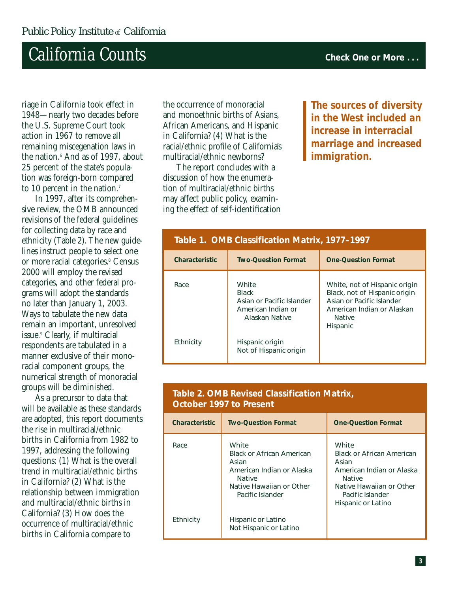## **California Counts Counts Counts Check One or More** ...

riage in California took effect in 1948—nearly two decades before the U.S. Supreme Court took action in 1967 to remove all remaining miscegenation laws in the nation.<sup>6</sup> And as of 1997, about 25 percent of the state's population was foreign-born compared to 10 percent in the nation.<sup>7</sup>

In 1997, after its comprehensive review, the OMB announced revisions of the federal guidelines for collecting data by race and ethnicity (Table 2). The new guidelines instruct people to select one or more racial categories.<sup>8</sup> Census 2000 will employ the revised categories, and other federal programs will adopt the standards no later than January 1, 2003. Ways to tabulate the new data remain an important, unresolved issue.9 Clearly, if multiracial respondents are tabulated in a manner exclusive of their monoracial component groups, the numerical strength of monoracial groups will be diminished.

As a precursor to data that will be available as these standards are adopted, this report documents the rise in multiracial/ethnic births in California from 1982 to 1997, addressing the following questions: (1) What is the overall trend in multiracial/ethnic births in California? (2) What is the relationship between immigration and multiracial/ethnic births in California? (3) How does the occurrence of multiracial/ethnic births in California compare to

the occurrence of monoracial and monoethnic births of Asians, African Americans, and Hispanic in California? (4) What is the racial/ethnic profile of California's multiracial/ethnic newborns?

The report concludes with a discussion of how the enumeration of multiracial/ethnic births may affect public policy, examining the effect of self-identification

**The sources of diversity in the West included an increase in interracial marriage and increased immigration.**

| Table 1. OMB Classification Matrix, 1977–1997 |                                                                                            |                                                                                                                                                        |  |
|-----------------------------------------------|--------------------------------------------------------------------------------------------|--------------------------------------------------------------------------------------------------------------------------------------------------------|--|
| Characteristic                                | <b>Two-Ouestion Format</b>                                                                 | <b>One-Ouestion Format</b>                                                                                                                             |  |
| Race                                          | White<br><b>Black</b><br>Asian or Pacific Islander<br>American Indian or<br>Alaskan Native | White, not of Hispanic origin<br>Black, not of Hispanic origin<br>Asian or Pacific Islander<br>American Indian or Alaskan<br><b>Native</b><br>Hispanic |  |
| Ethnicity                                     | Hispanic origin<br>Not of Hispanic origin                                                  |                                                                                                                                                        |  |

#### **Characteristic Two-Question Format One-Question Format** Race Ethnicity **White** Black or African American Asian American Indian or Alaska Native Native Hawaiian or Other Pacific Islander Hispanic or Latino Not Hispanic or Latino **White** Black or African American Asian American Indian or Alaska Native Native Hawaiian or Other Pacific Islander Hispanic or Latino

#### **Table 2. OMB Revised Classification Matrix, October 1997 to Present**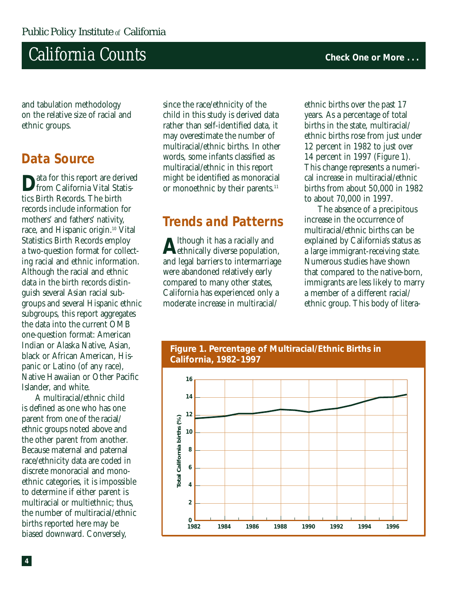### $California$  *Counts* **COUNTS COUNTS COUNTS COUNTS Check One or More ...**

and tabulation methodology on the relative size of racial and ethnic groups.

#### **Data Source**

ata for this report are derived from California Vital Statistics Birth Records. The birth records include information for mothers' and fathers' nativity, race, and Hispanic origin.10 Vital Statistics Birth Records employ a two-question format for collecting racial and ethnic information. Although the racial and ethnic data in the birth records distinguish several Asian racial subgroups and several Hispanic ethnic subgroups, this report aggregates the data into the current OMB one-question format: American Indian or Alaska Native, Asian, black or African American, Hispanic or Latino (of any race), Native Hawaiian or Other Pacific Islander, and white.

A multiracial/ethnic child is defined as one who has one parent from one of the racial/ ethnic groups noted above and the other parent from another. Because maternal and paternal race/ethnicity data are coded in discrete monoracial and monoethnic categories, it is impossible to determine if either parent is multiracial or multiethnic; thus, the number of multiracial/ethnic births reported here may be biased downward. Conversely,

since the race/ethnicity of the child in this study is derived data rather than self-identified data, it may overestimate the number of multiracial/ethnic births. In other words, some infants classified as multiracial/ethnic in this report might be identified as monoracial or monoethnic by their parents.<sup>11</sup>

#### **Trends and Patterns**

**A**lthough it has a racially and ethnically diverse population, and legal barriers to intermarriage were abandoned relatively early compared to many other states, California has experienced only a moderate increase in multiracial/

ethnic births over the past 17 years. As a percentage of total births in the state, multiracial/ ethnic births rose from just under 12 percent in 1982 to just over 14 percent in 1997 (Figure 1). This change represents a numerical increase in multiracial/ethnic births from about 50,000 in 1982 to about 70,000 in 1997.

The absence of a precipitous increase in the occurrence of multiracial/ethnic births can be explained by California's status as a large immigrant-receiving state. Numerous studies have shown that compared to the native-born, immigrants are less likely to marry a member of a different racial/ ethnic group. This body of litera-



**Figure 1. Percentage of Multiracial/Ethnic Births in**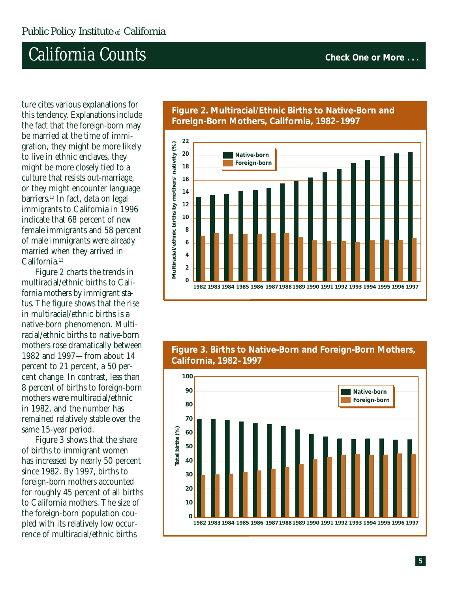### $California$  *Counts* **COUNTS COUNTS COUNTS COUNTS Check One or More ...**

ture cites various explanations for this tendency. Explanations include the fact that the foreign-born may be married at the time of immigration, they might be more likely to live in ethnic enclaves, they might be more closely tied to a culture that resists out-marriage, or they might encounter language barriers.12 In fact, data on legal immigrants to California in 1996 indicate that 68 percent of new female immigrants and 58 percent of male immigrants were already married when they arrived in California.<sup>13</sup>

Figure 2 charts the trends in multiracial/ethnic births to California mothers by immigrant status. The figure shows that the rise in multiracial/ethnic births is a native-born phenomenon. Multiracial/ethnic births to native-born mothers rose dramatically between 1982 and 1997—from about 14 percent to 21 percent, a 50 percent change. In contrast, less than 8 percent of births to foreign-born mothers were multiracial/ethnic in 1982, and the number has remained relatively stable over the same 15-year period.

Figure 3 shows that the share of births to immigrant women has increased by nearly 50 percent since 1982. By 1997, births to foreign-born mothers accounted for roughly 45 percent of all births to California mothers. The size of the foreign-born population coupled with its relatively low occurrence of multiracial/ethnic births



#### **Figure 2. Multiracial/Ethnic Births to Native-Born and Foreign-Born Mothers, California, 1982–1997**



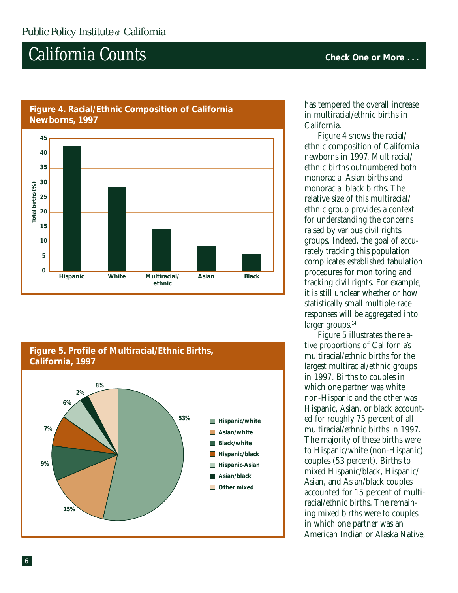$California$  *Counts* **COUNTS COUNTS COUNTS COUNTS Check One or More ...** 



#### **Figure 4. Racial/Ethnic Composition of California Newborns, 1997**



has tempered the overall increase in multiracial/ethnic births in California.

Figure 4 shows the racial/ ethnic composition of California newborns in 1997. Multiracial/ ethnic births outnumbered both monoracial Asian births and monoracial black births. The relative size of this multiracial/ ethnic group provides a context for understanding the concerns raised by various civil rights groups. Indeed, the goal of accurately tracking this population complicates established tabulation procedures for monitoring and tracking civil rights. For example, it is still unclear whether or how statistically small multiple-race responses will be aggregated into larger groups.<sup>14</sup>

Figure 5 illustrates the relative proportions of California's multiracial/ethnic births for the largest multiracial/ethnic groups in 1997. Births to couples in which one partner was white non-Hispanic and the other was Hispanic, Asian, or black accounted for roughly 75 percent of all multiracial/ethnic births in 1997. The majority of these births were to Hispanic/white (non-Hispanic) couples (53 percent). Births to mixed Hispanic/black, Hispanic/ Asian, and Asian/black couples accounted for 15 percent of multiracial/ethnic births. The remaining mixed births were to couples in which one partner was an American Indian or Alaska Native,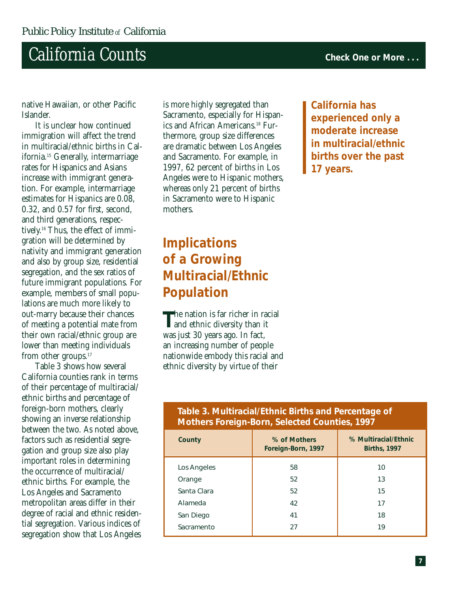## **California Counts Counts Counts Check One or More** ...

native Hawaiian, or other Pacific Islander.

It is unclear how continued immigration will affect the trend in multiracial/ethnic births in California.15 Generally, intermarriage rates for Hispanics and Asians increase with immigrant generation. For example, intermarriage estimates for Hispanics are 0.08, 0.32, and 0.57 for first, second, and third generations, respectively. <sup>16</sup> Thus, the effect of immigration will be determined by nativity and immigrant generation and also by group size, residential segregation, and the sex ratios of future immigrant populations. For example, members of small populations are much more likely to out-marry because their chances of meeting a potential mate from their own racial/ethnic group are lower than meeting individuals from other groups.<sup>17</sup>

Table 3 shows how several California counties rank in terms of their percentage of multiracial/ ethnic births and percentage of foreign-born mothers, clearly showing an inverse relationship between the two. As noted above, factors such as residential segregation and group size also play important roles in determining the occurrence of multiracial/ ethnic births. For example, the Los Angeles and Sacramento metropolitan areas differ in their degree of racial and ethnic residential segregation. Various indices of segregation show that Los Angeles

is more highly segregated than Sacramento, especially for Hispanics and African Americans.<sup>18</sup> Furthermore, group size differences are dramatic between Los Angeles and Sacramento. For example, in 1997, 62 percent of births in Los Angeles were to Hispanic mothers, whereas only 21 percent of births in Sacramento were to Hispanic mothers.

#### **Implications of a Growing Multiracial/Ethnic Population**

**T**he nation is far richer in racial and ethnic diversity than it was just 30 years ago. In fact, an increasing number of people nationwide embody this racial and ethnic diversity by virtue of their

**California has experienced only a moderate increase in multiracial/ethnic births over the past 17 years.**

#### **Table 3. Multiracial/Ethnic Births and Percentage of Mothers Foreign-Born, Selected Counties, 1997**

| County      | % of Mothers<br>Foreign-Born, 1997 | % Multiracial/Ethnic<br><b>Births, 1997</b> |
|-------------|------------------------------------|---------------------------------------------|
| Los Angeles | 58                                 | 10                                          |
| Orange      | 52                                 | 13                                          |
| Santa Clara | 52                                 | 15                                          |
| Alameda     | 42                                 | 17                                          |
| San Diego   | 41                                 | 18                                          |
| Sacramento  | 27                                 | 19                                          |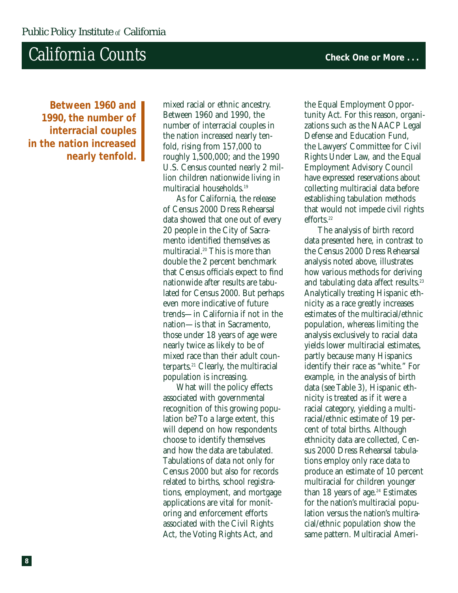### **California Counts Counts Counts Check One or More** ...

**Between 1960 and 1990, the number of interracial couples in the nation increased nearly tenfold.**

mixed racial or ethnic ancestry. Between 1960 and 1990, the number of interracial couples in the nation increased nearly tenfold, rising from 157,000 to roughly 1,500,000; and the 1990 U.S. Census counted nearly 2 million children nationwide living in multiracial households.19

As for California, the release of Census 2000 Dress Rehearsal data showed that one out of every 20 people in the City of Sacramento identified themselves as multiracial.20 This is more than double the 2 percent benchmark that Census officials expect to find nationwide after results are tabulated for Census 2000. But perhaps even more indicative of future trends—in California if not in the nation—is that in Sacramento, those under 18 years of age were nearly twice as likely to be of mixed race than their adult counterparts.21 Clearly, the multiracial population is increasing.

What will the policy effects associated with governmental recognition of this growing population be? To a large extent, this will depend on how respondents choose to identify themselves and how the data are tabulated. Tabulations of data not only for Census 2000 but also for records related to births, school registrations, employment, and mortgage applications are vital for monitoring and enforcement efforts associated with the Civil Rights Act, the Voting Rights Act, and

the Equal Employment Opportunity Act. For this reason, organizations such as the NAACP Legal Defense and Education Fund, the Lawyers' Committee for Civil Rights Under Law, and the Equal Employment Advisory Council have expressed reservations about collecting multiracial data before establishing tabulation methods that would not impede civil rights efforts.<sup>22</sup>

The analysis of birth record data presented here, in contrast to the Census 2000 Dress Rehearsal analysis noted above, illustrates how various methods for deriving and tabulating data affect results.<sup>23</sup> Analytically treating Hispanic ethnicity as a race greatly increases estimates of the multiracial/ethnic population, whereas limiting the analysis exclusively to racial data yields lower multiracial estimates, partly because many Hispanics identify their race as "white." For example, in the analysis of birth data (see Table 3), Hispanic ethnicity is treated as if it were a racial category, yielding a multiracial/ethnic estimate of 19 percent of total births. Although ethnicity data are collected, Census 2000 Dress Rehearsal tabulations employ only race data to produce an estimate of 10 percent multiracial for children younger than 18 years of age. $24$  Estimates for the nation's multiracial population versus the nation's multiracial/ethnic population show the same pattern. Multiracial Ameri-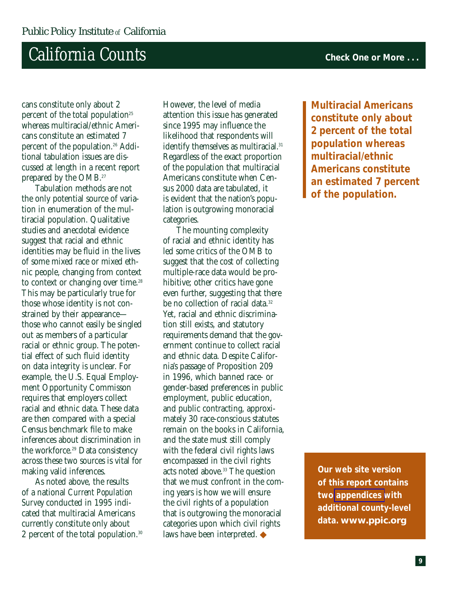### **California Counts Counts Counts Counts Check One or More .** . .

cans constitute only about 2 percent of the total population<sup>25</sup> whereas multiracial/ethnic Americans constitute an estimated 7 percent of the population.<sup>26</sup> Additional tabulation issues are discussed at length in a recent report prepared by the OMB.27

Tabulation methods are not the only potential source of variation in enumeration of the multiracial population. Qualitative studies and anecdotal evidence suggest that racial and ethnic identities may be fluid in the lives of some mixed race or mixed ethnic people, changing from context to context or changing over time.<sup>28</sup> This may be particularly true for those whose identity is not constrained by their appearance those who cannot easily be singled out as members of a particular racial or ethnic group. The potential effect of such fluid identity on data integrity is unclear. For example, the U.S. Equal Employment Opportunity Commisson requires that employers collect racial and ethnic data. These data are then compared with a special Census benchmark file to make inferences about discrimination in the workforce.<sup>29</sup> Data consistency across these two sources is vital for making valid inferences.

As noted above, the results of a national *Current Population Survey* conducted in 1995 indicated that multiracial Americans currently constitute only about 2 percent of the total population.30

However, the level of media attention this issue has generated since 1995 may influence the likelihood that respondents will identify themselves as multiracial.<sup>31</sup> Regardless of the exact proportion of the population that multiracial Americans constitute when Census 2000 data are tabulated, it is evident that the nation's population is outgrowing monoracial categories.

The mounting complexity of racial and ethnic identity has led some critics of the OMB to suggest that the cost of collecting multiple-race data would be prohibitive; other critics have gone even further, suggesting that there be no collection of racial data.<sup>32</sup> Yet, racial and ethnic discrimination still exists, and statutory requirements demand that the government continue to collect racial and ethnic data. Despite California's passage of Proposition 209 in 1996, which banned race- or gender-based preferences in public employment, public education, and public contracting, approximately 30 race-conscious statutes remain on the books in California, and the state must still comply with the federal civil rights laws encompassed in the civil rights acts noted above.<sup>33</sup> The question that we must confront in the coming years is how we will ensure the civil rights of a population that is outgrowing the monoracial categories upon which civil rights laws have been interpreted. ◆

**Multiracial Americans constitute only about 2 percent of the total population whereas multiracial/ethnic Americans constitute an estimated 7 percent of the population.**

**Our web site version of this report contains two [appendices w](http://www.ppic.org/publications/CalCounts2/calcounts2.html#appendix)ith additional county-level data.** *www.ppic.org*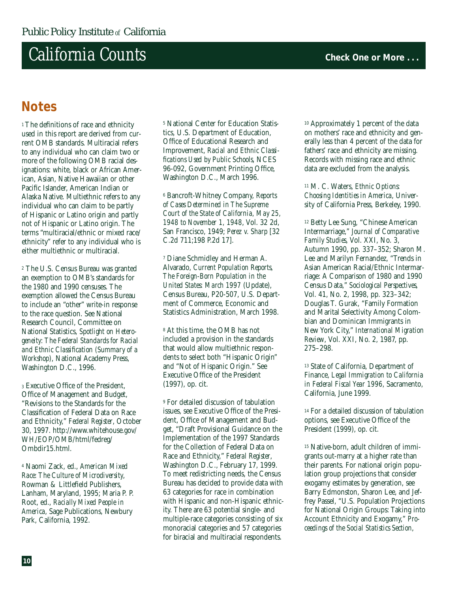### $California$   $Counts$  **Check One or More .** . .

#### **Notes**

<sup>1</sup> The definitions of race and ethnicity used in this report are derived from current OMB standards. Multiracial refers to any individual who can claim two or more of the following OMB racial designations: white, black or African American, Asian, Native Hawaiian or other Pacific Islander, American Indian or Alaska Native. Multiethnic refers to any individual who can claim to be partly of Hispanic or Latino origin and partly not of Hispanic or Latino origin. The terms "multiracial/ethnic or mixed race/ ethnicity" refer to any individual who is either multiethnic or multiracial.

<sup>2</sup> The U.S. Census Bureau was granted an exemption to OMB's standards for the 1980 and 1990 censuses. The exemption allowed the Census Bureau to include an "other" write-in response to the race question. See National Research Council, Committee on National Statistics, *Spotlight on Heterogeneity: The Federal Standards for Racial and Ethnic Classification (Summary of a Workshop)*, National Academy Press, Washington D.C., 1996.

<sup>3</sup> Executive Office of the President, Office of Management and Budget, "Revisions to the Standards for the Classification of Federal Data on Race and Ethnicity," *Federal Register*, October 30, 1997. http://www.whitehouse.gov/ WH/EOP/OMB/html/fedreg/ Ombdir15.html.

<sup>4</sup> Naomi Zack, ed., *American Mixed Race: The Culture of Microdiversity*, Rowman & Littlefield Publishers, Lanham, Maryland, 1995; Maria P. P. Root, ed., *Racially Mixed People in America*, Sage Publications, Newbury Park, California, 1992.

<sup>5</sup> National Center for Education Statistics, U.S. Department of Education, Office of Educational Research and Improvement, *Racial and Ethnic Classifications Used by Public Schools*, NCES 96-092, Government Printing Office, Washington D.C., March 1996.

<sup>6</sup> Bancroft-Whitney Company, *Reports of Cases Determined in The Supreme Court of the State of California, May 25, 1948 to November 1, 1948*, Vol. 32 2d, San Francisco, 1949; *Perez v. Sharp* [32 C.2d 711;198 P.2d 17].

<sup>7</sup> Diane Schmidley and Herman A. Alvarado, *Current Population Reports, The Foreign-Born Population in the United States: March 1997* (Update), Census Bureau, P20-507, U.S. Department of Commerce, Economic and Statistics Administration, March 1998.

<sup>8</sup> At this time, the OMB has not included a provision in the standards that would allow multiethnic respondents to select both "Hispanic Origin" and "Not of Hispanic Origin." See Executive Office of the President (1997), op. cit.

<sup>9</sup> For detailed discussion of tabulation issues, see Executive Office of the President, Office of Management and Budget, "Draft Provisional Guidance on the Implementation of the 1997 Standards for the Collection of Federal Data on Race and Ethnicity," *Federal Register*, Washington D.C., February 17, 1999. To meet redistricting needs, the Census Bureau has decided to provide data with 63 categories for race in combination with Hispanic and non-Hispanic ethnicity. There are 63 potential single- and multiple-race categories consisting of six monoracial categories and 57 categories for biracial and multiracial respondents.

<sup>10</sup> Approximately 1 percent of the data on mothers' race and ethnicity and generally less than 4 percent of the data for fathers' race and ethnicity are missing. Records with missing race and ethnic data are excluded from the analysis.

<sup>11</sup> M. C. Waters, *Ethnic Options: Choosing Identities in America*, University of California Press, Berkeley, 1990.

<sup>12</sup> Betty Lee Sung, "Chinese American Intermarriage," *Journal of Comparative Family Studies*, Vol. XXI, No. 3, Autumn 1990, pp. 337–352; Sharon M. Lee and Marilyn Fernandez, "Trends in Asian American Racial/Ethnic Intermarriage: A Comparison of 1980 and 1990 Census Data," *Sociological Perspectives*, Vol. 41, No. 2, 1998, pp. 323–342; Douglas T. Gurak, "Family Formation and Marital Selectivity Among Colombian and Dominican Immigrants in New York City," *International Migration Review*, Vol. XXI, No. 2, 1987, pp. 275–298.

<sup>13</sup> State of California, Department of Finance, *Legal Immigration to California in Federal Fiscal Year 1996*, Sacramento, California, June 1999.

<sup>14</sup> For a detailed discussion of tabulation options, see Executive Office of the President (1999), op. cit.

<sup>15</sup> Native-born, adult children of immigrants out-marry at a higher rate than their parents. For national origin population group projections that consider exogamy estimates by generation, see Barry Edmonston, Sharon Lee, and Jeffrey Passel, "U.S. Population Projections for National Origin Groups: Taking into Account Ethnicity and Exogamy," *Proceedings of the Social Statistics Section*,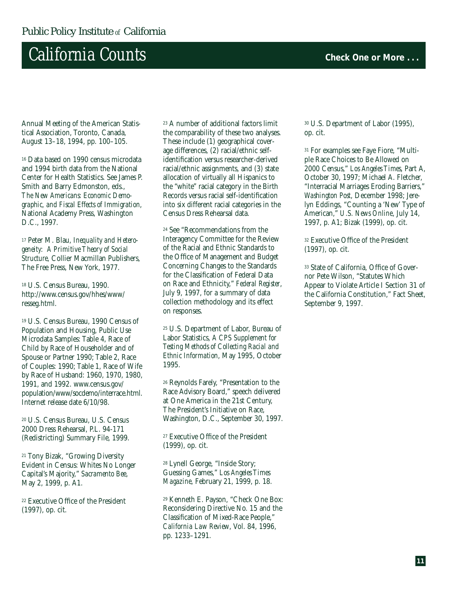### $California$   $Counts$  **Check One or More .** . .

Annual Meeting of the American Statistical Association, Toronto, Canada, August 13–18, 1994, pp. 100–105.

<sup>16</sup> Data based on 1990 census microdata and 1994 birth data from the National Center for Health Statistics. See James P. Smith and Barry Edmonston, eds., *The New Americans: Economic Demographic, and Fiscal Effects of Immigration*, National Academy Press, Washington D.C., 1997.

<sup>17</sup> Peter M. Blau, *Inequality and Heterogeneity: A Primitive Theory of Social Structure*, Collier Macmillan Publishers, The Free Press, New York, 1977.

<sup>18</sup> U.S. Census Bureau, 1990. http://www.census.gov/hhes/www/ resseg.html.

<sup>19</sup> U.S. Census Bureau, 1990 Census of Population and Housing, Public Use Microdata Samples: Table 4, Race of Child by Race of Householder and of Spouse or Partner 1990; Table 2, Race of Couples: 1990; Table 1, Race of Wife by Race of Husband: 1960, 1970, 1980, 1991, and 1992. www.census.gov/ population/www/socdemo/interrace.html. Internet release date 6/10/98.

<sup>20</sup> U.S. Census Bureau, U.S. Census 2000 Dress Rehearsal, P.L. 94-171 (Redistricting) Summary File, 1999.

<sup>21</sup> Tony Bizak, "Growing Diversity Evident in Census: Whites No Longer Capital's Majority," *Sacramento Bee*, May 2, 1999, p. A1.

<sup>22</sup> Executive Office of the President (1997), op. cit.

<sup>23</sup> A number of additional factors limit the comparability of these two analyses. These include (1) geographical coverage differences, (2) racial/ethnic selfidentification versus researcher-derived racial/ethnic assignments, and (3) state allocation of virtually all Hispanics to the "white" racial category in the Birth Records versus racial self-identification into six different racial categories in the Census Dress Rehearsal data.

<sup>24</sup> See "Recommendations from the Interagency Committee for the Review of the Racial and Ethnic Standards to the Office of Management and Budget Concerning Changes to the Standards for the Classification of Federal Data on Race and Ethnicity," *Federal Register*, July 9, 1997, for a summary of data collection methodology and its effect on responses.

<sup>25</sup> U.S. Department of Labor, Bureau of Labor Statistics, *A CPS Supplement for Testing Methods of Collecting Racial and Ethnic Information*, May 1995, October 1995.

<sup>26</sup> Reynolds Farely, "Presentation to the Race Advisory Board," speech delivered at One America in the 21st Century, The President's Initiative on Race, Washington, D.C., September 30, 1997.

<sup>27</sup> Executive Office of the President (1999), op. cit.

<sup>28</sup> Lynell George, "Inside Story; Guessing Games," *Los Angeles Times Magazine*, February 21, 1999, p. 18.

<sup>29</sup> Kenneth E. Payson, "Check One Box: Reconsidering Directive No. 15 and the Classification of Mixed-Race People," *California Law Review*, Vol. 84, 1996, pp. 1233–1291.

<sup>30</sup> U.S. Department of Labor (1995), op. cit.

<sup>31</sup> For examples see Faye Fiore, "Multiple Race Choices to Be Allowed on 2000 Census," *Los Angeles Times*, Part A, October 30, 1997; Michael A. Fletcher, "Interracial Marriages Eroding Barriers," *Washington Post*, December 1998; Jerelyn Eddings, "Counting a 'New' Type of American," *U.S. News Online*, July 14, 1997, p. A1; Bizak (1999), op. cit.

<sup>32</sup> Executive Office of the President (1997), op. cit.

<sup>33</sup> State of California, Office of Governor Pete Wilson, "Statutes Which Appear to Violate Article I Section 31 of the California Constitution," Fact Sheet, September 9, 1997.